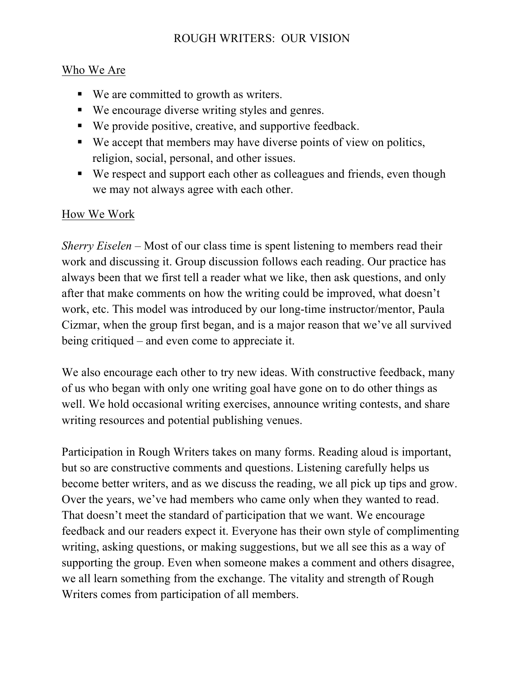## ROUGH WRITERS: OUR VISION

## Who We Are

- We are committed to growth as writers.
- We encourage diverse writing styles and genres.
- We provide positive, creative, and supportive feedback.
- We accept that members may have diverse points of view on politics, religion, social, personal, and other issues.
- We respect and support each other as colleagues and friends, even though we may not always agree with each other.

## How We Work

*Sherry Eiselen* – Most of our class time is spent listening to members read their work and discussing it. Group discussion follows each reading. Our practice has always been that we first tell a reader what we like, then ask questions, and only after that make comments on how the writing could be improved, what doesn't work, etc. This model was introduced by our long-time instructor/mentor, Paula Cizmar, when the group first began, and is a major reason that we've all survived being critiqued – and even come to appreciate it.

We also encourage each other to try new ideas. With constructive feedback, many of us who began with only one writing goal have gone on to do other things as well. We hold occasional writing exercises, announce writing contests, and share writing resources and potential publishing venues.

Participation in Rough Writers takes on many forms. Reading aloud is important, but so are constructive comments and questions. Listening carefully helps us become better writers, and as we discuss the reading, we all pick up tips and grow. Over the years, we've had members who came only when they wanted to read. That doesn't meet the standard of participation that we want. We encourage feedback and our readers expect it. Everyone has their own style of complimenting writing, asking questions, or making suggestions, but we all see this as a way of supporting the group. Even when someone makes a comment and others disagree, we all learn something from the exchange. The vitality and strength of Rough Writers comes from participation of all members.